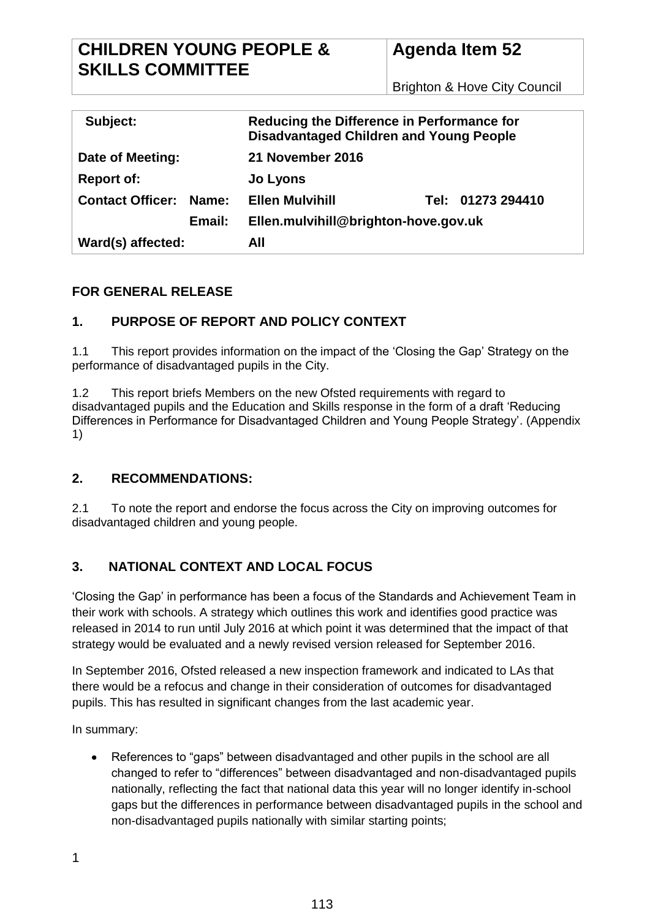# **CHILDREN YOUNG PEOPLE & SKILLS COMMITTEE**

# **Agenda Item 52**

Brighton & Hove City Council

| Subject:                      |        | Reducing the Difference in Performance for<br><b>Disadvantaged Children and Young People</b> |  |                   |  |
|-------------------------------|--------|----------------------------------------------------------------------------------------------|--|-------------------|--|
| Date of Meeting:              |        | 21 November 2016                                                                             |  |                   |  |
| <b>Report of:</b>             |        | Jo Lyons                                                                                     |  |                   |  |
| <b>Contact Officer: Name:</b> |        | <b>Ellen Mulvihill</b>                                                                       |  | Tel: 01273 294410 |  |
|                               | Email: | Ellen.mulvihill@brighton-hove.gov.uk                                                         |  |                   |  |
| Ward(s) affected:             |        | All                                                                                          |  |                   |  |

# **FOR GENERAL RELEASE**

# **1. PURPOSE OF REPORT AND POLICY CONTEXT**

1.1 This report provides information on the impact of the 'Closing the Gap' Strategy on the performance of disadvantaged pupils in the City.

1.2 This report briefs Members on the new Ofsted requirements with regard to disadvantaged pupils and the Education and Skills response in the form of a draft 'Reducing Differences in Performance for Disadvantaged Children and Young People Strategy'. (Appendix 1)

# **2. RECOMMENDATIONS:**

2.1 To note the report and endorse the focus across the City on improving outcomes for disadvantaged children and young people.

# **3. NATIONAL CONTEXT AND LOCAL FOCUS**

'Closing the Gap' in performance has been a focus of the Standards and Achievement Team in their work with schools. A strategy which outlines this work and identifies good practice was released in 2014 to run until July 2016 at which point it was determined that the impact of that strategy would be evaluated and a newly revised version released for September 2016.

In September 2016, Ofsted released a new inspection framework and indicated to LAs that there would be a refocus and change in their consideration of outcomes for disadvantaged pupils. This has resulted in significant changes from the last academic year.

In summary:

References to "gaps" between disadvantaged and other pupils in the school are all changed to refer to "differences" between disadvantaged and non-disadvantaged pupils nationally, reflecting the fact that national data this year will no longer identify in-school gaps but the differences in performance between disadvantaged pupils in the school and non-disadvantaged pupils nationally with similar starting points;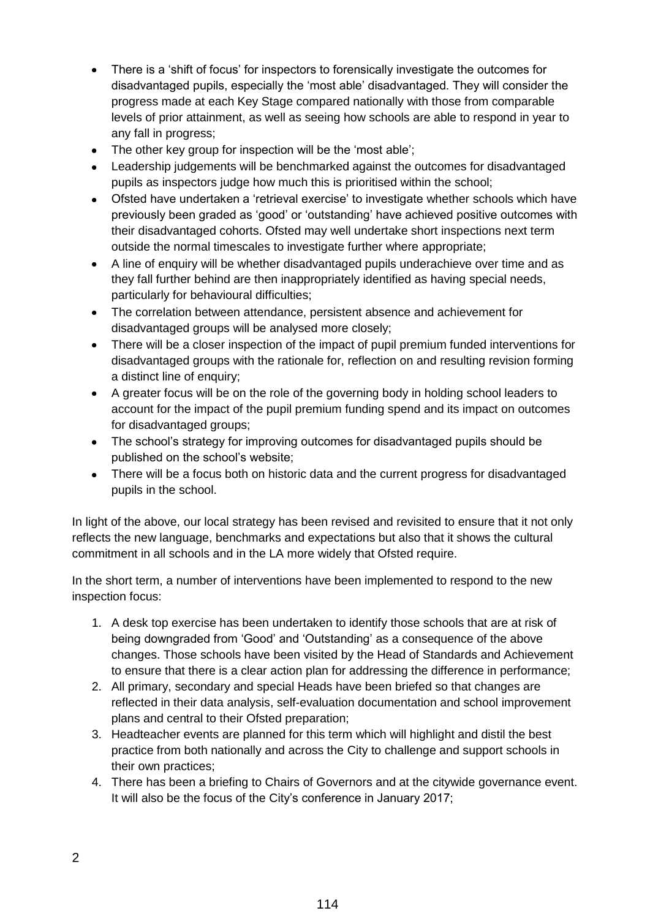- There is a 'shift of focus' for inspectors to forensically investigate the outcomes for disadvantaged pupils, especially the 'most able' disadvantaged. They will consider the progress made at each Key Stage compared nationally with those from comparable levels of prior attainment, as well as seeing how schools are able to respond in year to any fall in progress;
- The other key group for inspection will be the 'most able':
- Leadership judgements will be benchmarked against the outcomes for disadvantaged pupils as inspectors judge how much this is prioritised within the school;
- Ofsted have undertaken a 'retrieval exercise' to investigate whether schools which have previously been graded as 'good' or 'outstanding' have achieved positive outcomes with their disadvantaged cohorts. Ofsted may well undertake short inspections next term outside the normal timescales to investigate further where appropriate;
- A line of enquiry will be whether disadvantaged pupils underachieve over time and as they fall further behind are then inappropriately identified as having special needs, particularly for behavioural difficulties;
- The correlation between attendance, persistent absence and achievement for disadvantaged groups will be analysed more closely;
- There will be a closer inspection of the impact of pupil premium funded interventions for disadvantaged groups with the rationale for, reflection on and resulting revision forming a distinct line of enquiry;
- A greater focus will be on the role of the governing body in holding school leaders to account for the impact of the pupil premium funding spend and its impact on outcomes for disadvantaged groups;
- The school's strategy for improving outcomes for disadvantaged pupils should be published on the school's website;
- There will be a focus both on historic data and the current progress for disadvantaged pupils in the school.

In light of the above, our local strategy has been revised and revisited to ensure that it not only reflects the new language, benchmarks and expectations but also that it shows the cultural commitment in all schools and in the LA more widely that Ofsted require.

In the short term, a number of interventions have been implemented to respond to the new inspection focus:

- 1. A desk top exercise has been undertaken to identify those schools that are at risk of being downgraded from 'Good' and 'Outstanding' as a consequence of the above changes. Those schools have been visited by the Head of Standards and Achievement to ensure that there is a clear action plan for addressing the difference in performance;
- 2. All primary, secondary and special Heads have been briefed so that changes are reflected in their data analysis, self-evaluation documentation and school improvement plans and central to their Ofsted preparation;
- 3. Headteacher events are planned for this term which will highlight and distil the best practice from both nationally and across the City to challenge and support schools in their own practices;
- 4. There has been a briefing to Chairs of Governors and at the citywide governance event. It will also be the focus of the City's conference in January 2017;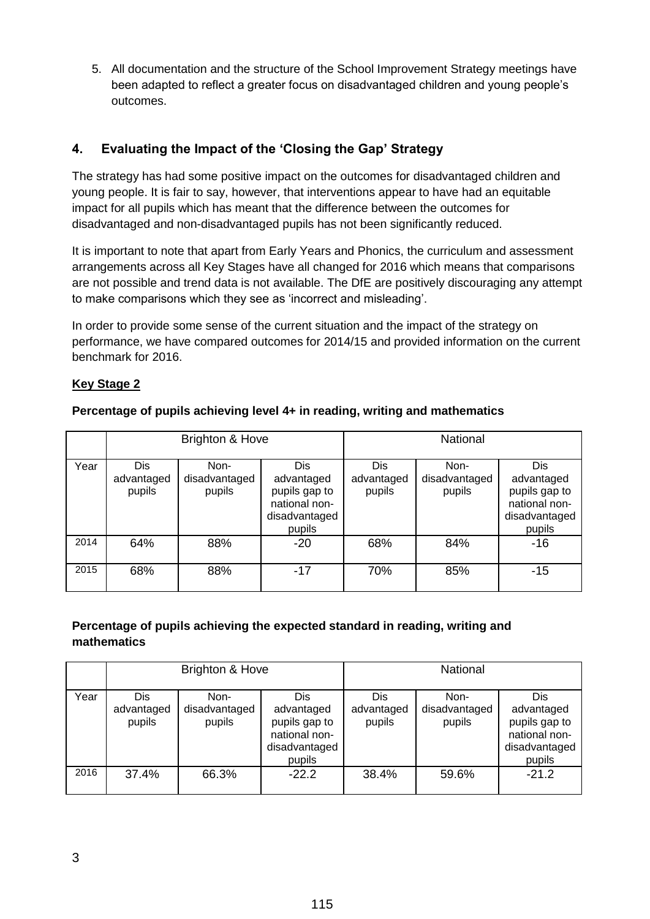5. All documentation and the structure of the School Improvement Strategy meetings have been adapted to reflect a greater focus on disadvantaged children and young people's outcomes.

# **4. Evaluating the Impact of the 'Closing the Gap' Strategy**

The strategy has had some positive impact on the outcomes for disadvantaged children and young people. It is fair to say, however, that interventions appear to have had an equitable impact for all pupils which has meant that the difference between the outcomes for disadvantaged and non-disadvantaged pupils has not been significantly reduced.

It is important to note that apart from Early Years and Phonics, the curriculum and assessment arrangements across all Key Stages have all changed for 2016 which means that comparisons are not possible and trend data is not available. The DfE are positively discouraging any attempt to make comparisons which they see as 'incorrect and misleading'.

In order to provide some sense of the current situation and the impact of the strategy on performance, we have compared outcomes for 2014/15 and provided information on the current benchmark for 2016.

# **Key Stage 2**

|      |                             | Brighton & Hove                 |                                                                                | <b>National</b>             |                                 |                                                                                       |
|------|-----------------------------|---------------------------------|--------------------------------------------------------------------------------|-----------------------------|---------------------------------|---------------------------------------------------------------------------------------|
| Year | Dis<br>advantaged<br>pupils | Non-<br>disadvantaged<br>pupils | Dis<br>advantaged<br>pupils gap to<br>national non-<br>disadvantaged<br>pupils | Dis<br>advantaged<br>pupils | Non-<br>disadvantaged<br>pupils | <b>Dis</b><br>advantaged<br>pupils gap to<br>national non-<br>disadvantaged<br>pupils |
| 2014 | 64%                         | 88%                             | $-20$                                                                          | 68%                         | 84%                             | $-16$                                                                                 |
| 2015 | 68%                         | 88%                             | $-17$                                                                          | 70%                         | 85%                             | $-15$                                                                                 |

## **Percentage of pupils achieving level 4+ in reading, writing and mathematics**

# **Percentage of pupils achieving the expected standard in reading, writing and mathematics**

|      | Brighton & Hove             |                                 |                                                                                | National                    |                                 |                                                                                |
|------|-----------------------------|---------------------------------|--------------------------------------------------------------------------------|-----------------------------|---------------------------------|--------------------------------------------------------------------------------|
| Year | Dis<br>advantaged<br>pupils | Non-<br>disadvantaged<br>pupils | Dis<br>advantaged<br>pupils gap to<br>national non-<br>disadvantaged<br>pupils | Dis<br>advantaged<br>pupils | Non-<br>disadvantaged<br>pupils | Dis<br>advantaged<br>pupils gap to<br>national non-<br>disadvantaged<br>pupils |
| 2016 | 37.4%                       | 66.3%                           | $-22.2$                                                                        | 38.4%                       | 59.6%                           | $-21.2$                                                                        |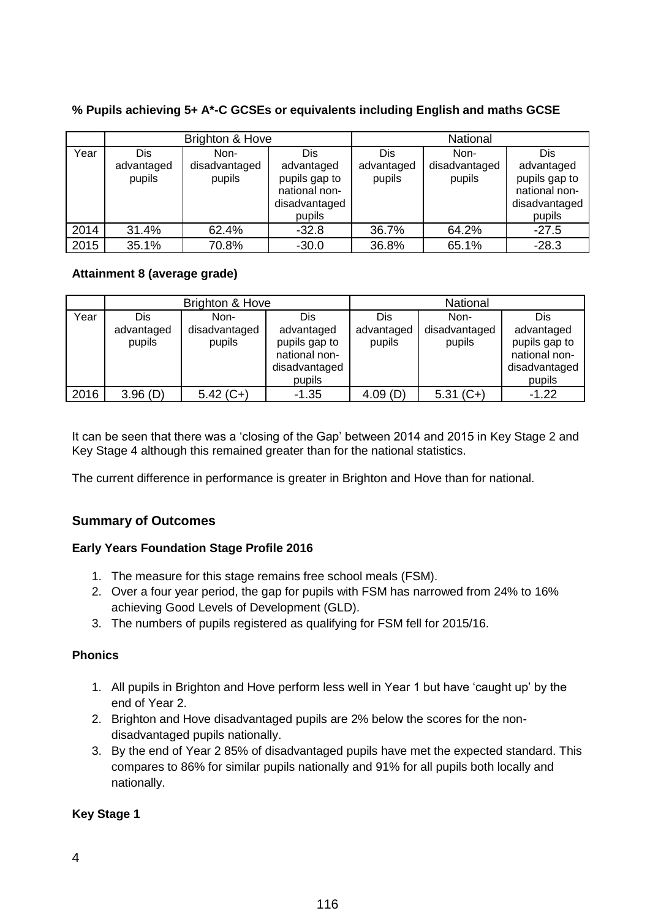|      |            | Brighton & Hove |               |            | National      |               |
|------|------------|-----------------|---------------|------------|---------------|---------------|
| Year | <b>Dis</b> | Non-            | Dis           | <b>Dis</b> | Non-          | Dis           |
|      | advantaged | disadvantaged   | advantaged    | advantaged | disadvantaged | advantaged    |
|      | pupils     | pupils          | pupils gap to | pupils     | pupils        | pupils gap to |
|      |            |                 | national non- |            |               | national non- |
|      |            |                 | disadvantaged |            |               | disadvantaged |
|      |            |                 | pupils        |            |               | pupils        |
| 2014 | 31.4%      | 62.4%           | $-32.8$       | 36.7%      | 64.2%         | $-27.5$       |
| 2015 | 35.1%      | 70.8%           | $-30.0$       | 36.8%      | 65.1%         | $-28.3$       |

# **% Pupils achieving 5+ A\*-C GCSEs or equivalents including English and maths GCSE**

## **Attainment 8 (average grade)**

|      |                             | Brighton & Hove                 |                                                                                | National                    |                                 |                                                                                |
|------|-----------------------------|---------------------------------|--------------------------------------------------------------------------------|-----------------------------|---------------------------------|--------------------------------------------------------------------------------|
| Year | Dis<br>advantaged<br>pupils | Non-<br>disadvantaged<br>pupils | Dis<br>advantaged<br>pupils gap to<br>national non-<br>disadvantaged<br>pupils | Dis<br>advantaged<br>pupils | Non-<br>disadvantaged<br>pupils | Dis<br>advantaged<br>pupils gap to<br>national non-<br>disadvantaged<br>pupils |
| 2016 | 3.96(D)                     | $5.42(C+)$                      | $-1.35$                                                                        | 4.09(D)                     | $5.31(C+)$                      | $-1.22$                                                                        |

It can be seen that there was a 'closing of the Gap' between 2014 and 2015 in Key Stage 2 and Key Stage 4 although this remained greater than for the national statistics.

The current difference in performance is greater in Brighton and Hove than for national.

# **Summary of Outcomes**

## **Early Years Foundation Stage Profile 2016**

- 1. The measure for this stage remains free school meals (FSM).
- 2. Over a four year period, the gap for pupils with FSM has narrowed from 24% to 16% achieving Good Levels of Development (GLD).
- 3. The numbers of pupils registered as qualifying for FSM fell for 2015/16.

## **Phonics**

- 1. All pupils in Brighton and Hove perform less well in Year 1 but have 'caught up' by the end of Year 2.
- 2. Brighton and Hove disadvantaged pupils are 2% below the scores for the nondisadvantaged pupils nationally.
- 3. By the end of Year 2 85% of disadvantaged pupils have met the expected standard. This compares to 86% for similar pupils nationally and 91% for all pupils both locally and nationally.

## **Key Stage 1**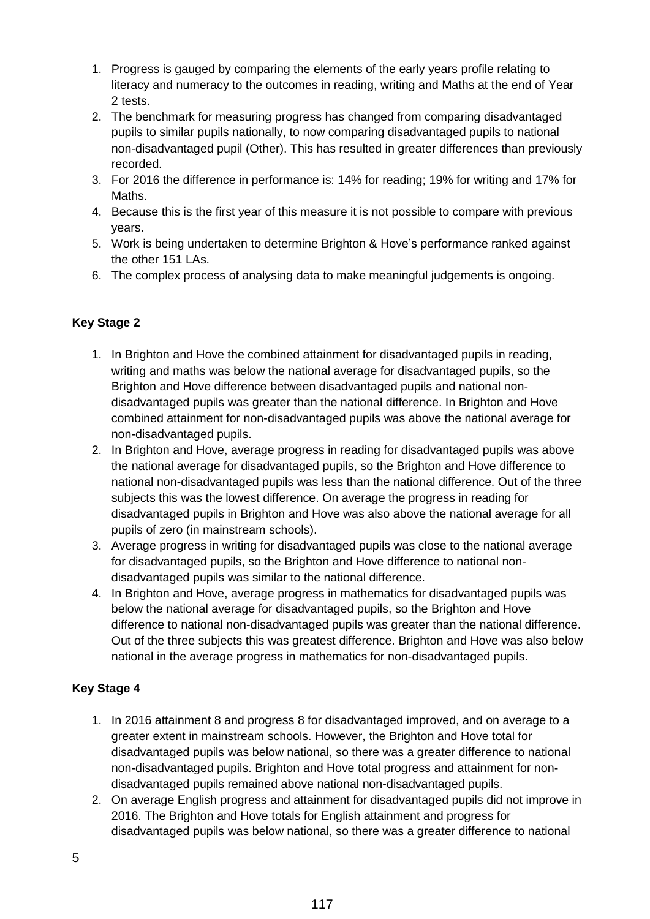- 1. Progress is gauged by comparing the elements of the early years profile relating to literacy and numeracy to the outcomes in reading, writing and Maths at the end of Year 2 tests.
- 2. The benchmark for measuring progress has changed from comparing disadvantaged pupils to similar pupils nationally, to now comparing disadvantaged pupils to national non-disadvantaged pupil (Other). This has resulted in greater differences than previously recorded.
- 3. For 2016 the difference in performance is: 14% for reading; 19% for writing and 17% for Maths.
- 4. Because this is the first year of this measure it is not possible to compare with previous years.
- 5. Work is being undertaken to determine Brighton & Hove's performance ranked against the other 151 LAs.
- 6. The complex process of analysing data to make meaningful judgements is ongoing.

# **Key Stage 2**

- 1. In Brighton and Hove the combined attainment for disadvantaged pupils in reading, writing and maths was below the national average for disadvantaged pupils, so the Brighton and Hove difference between disadvantaged pupils and national nondisadvantaged pupils was greater than the national difference. In Brighton and Hove combined attainment for non-disadvantaged pupils was above the national average for non-disadvantaged pupils.
- 2. In Brighton and Hove, average progress in reading for disadvantaged pupils was above the national average for disadvantaged pupils, so the Brighton and Hove difference to national non-disadvantaged pupils was less than the national difference. Out of the three subjects this was the lowest difference. On average the progress in reading for disadvantaged pupils in Brighton and Hove was also above the national average for all pupils of zero (in mainstream schools).
- 3. Average progress in writing for disadvantaged pupils was close to the national average for disadvantaged pupils, so the Brighton and Hove difference to national nondisadvantaged pupils was similar to the national difference.
- 4. In Brighton and Hove, average progress in mathematics for disadvantaged pupils was below the national average for disadvantaged pupils, so the Brighton and Hove difference to national non-disadvantaged pupils was greater than the national difference. Out of the three subjects this was greatest difference. Brighton and Hove was also below national in the average progress in mathematics for non-disadvantaged pupils.

## **Key Stage 4**

- 1. In 2016 attainment 8 and progress 8 for disadvantaged improved, and on average to a greater extent in mainstream schools. However, the Brighton and Hove total for disadvantaged pupils was below national, so there was a greater difference to national non-disadvantaged pupils. Brighton and Hove total progress and attainment for nondisadvantaged pupils remained above national non-disadvantaged pupils.
- 2. On average English progress and attainment for disadvantaged pupils did not improve in 2016. The Brighton and Hove totals for English attainment and progress for disadvantaged pupils was below national, so there was a greater difference to national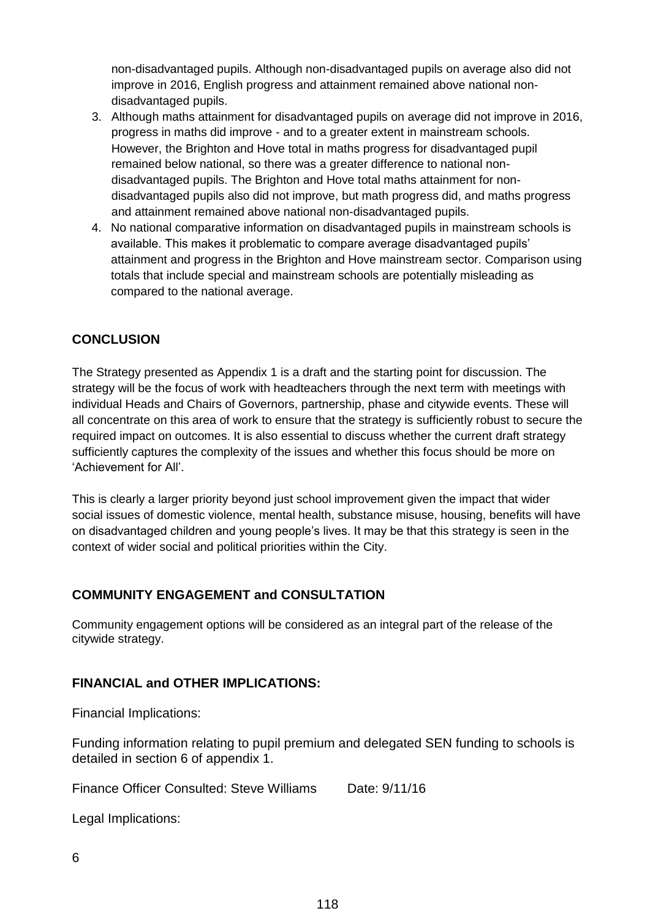non-disadvantaged pupils. Although non-disadvantaged pupils on average also did not improve in 2016, English progress and attainment remained above national nondisadvantaged pupils.

- 3. Although maths attainment for disadvantaged pupils on average did not improve in 2016, progress in maths did improve - and to a greater extent in mainstream schools. However, the Brighton and Hove total in maths progress for disadvantaged pupil remained below national, so there was a greater difference to national nondisadvantaged pupils. The Brighton and Hove total maths attainment for nondisadvantaged pupils also did not improve, but math progress did, and maths progress and attainment remained above national non-disadvantaged pupils.
- 4. No national comparative information on disadvantaged pupils in mainstream schools is available. This makes it problematic to compare average disadvantaged pupils' attainment and progress in the Brighton and Hove mainstream sector. Comparison using totals that include special and mainstream schools are potentially misleading as compared to the national average.

# **CONCLUSION**

The Strategy presented as Appendix 1 is a draft and the starting point for discussion. The strategy will be the focus of work with headteachers through the next term with meetings with individual Heads and Chairs of Governors, partnership, phase and citywide events. These will all concentrate on this area of work to ensure that the strategy is sufficiently robust to secure the required impact on outcomes. It is also essential to discuss whether the current draft strategy sufficiently captures the complexity of the issues and whether this focus should be more on 'Achievement for All'.

This is clearly a larger priority beyond just school improvement given the impact that wider social issues of domestic violence, mental health, substance misuse, housing, benefits will have on disadvantaged children and young people's lives. It may be that this strategy is seen in the context of wider social and political priorities within the City.

# **COMMUNITY ENGAGEMENT and CONSULTATION**

Community engagement options will be considered as an integral part of the release of the citywide strategy.

# **FINANCIAL and OTHER IMPLICATIONS:**

Financial Implications:

Funding information relating to pupil premium and delegated SEN funding to schools is detailed in section 6 of appendix 1.

Finance Officer Consulted: Steve Williams Date: 9/11/16

Legal Implications: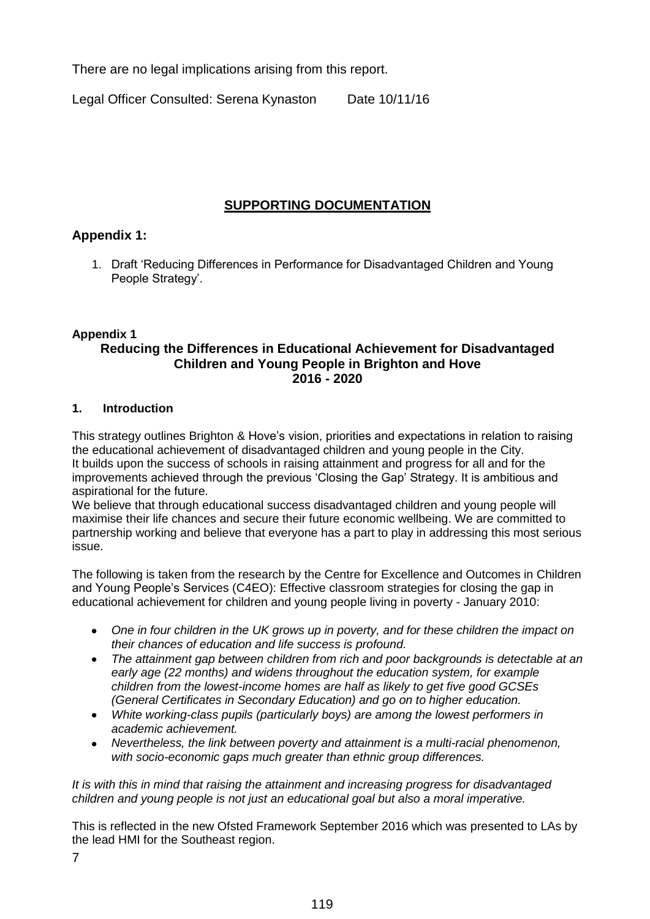There are no legal implications arising from this report.

Legal Officer Consulted: Serena Kynaston Date 10/11/16

# **SUPPORTING DOCUMENTATION**

# **Appendix 1:**

1. Draft 'Reducing Differences in Performance for Disadvantaged Children and Young People Strategy'.

## **Appendix 1**

## **Reducing the Differences in Educational Achievement for Disadvantaged Children and Young People in Brighton and Hove 2016 - 2020**

### **1. Introduction**

This strategy outlines Brighton & Hove's vision, priorities and expectations in relation to raising the educational achievement of disadvantaged children and young people in the City. It builds upon the success of schools in raising attainment and progress for all and for the improvements achieved through the previous 'Closing the Gap' Strategy. It is ambitious and aspirational for the future.

We believe that through educational success disadvantaged children and young people will maximise their life chances and secure their future economic wellbeing. We are committed to partnership working and believe that everyone has a part to play in addressing this most serious issue.

The following is taken from the research by the Centre for Excellence and Outcomes in Children and Young People's Services (C4EO): Effective classroom strategies for closing the gap in educational achievement for children and young people living in poverty - January 2010:

- *One in four children in the UK grows up in poverty, and for these children the impact on their chances of education and life success is profound.*
- *The attainment gap between children from rich and poor backgrounds is detectable at an early age (22 months) and widens throughout the education system, for example children from the lowest-income homes are half as likely to get five good GCSEs (General Certificates in Secondary Education) and go on to higher education.*
- *White working-class pupils (particularly boys) are among the lowest performers in academic achievement.*
- *Nevertheless, the link between poverty and attainment is a multi-racial phenomenon, with socio-economic gaps much greater than ethnic group differences.*

*It is with this in mind that raising the attainment and increasing progress for disadvantaged children and young people is not just an educational goal but also a moral imperative.*

This is reflected in the new Ofsted Framework September 2016 which was presented to LAs by the lead HMI for the Southeast region.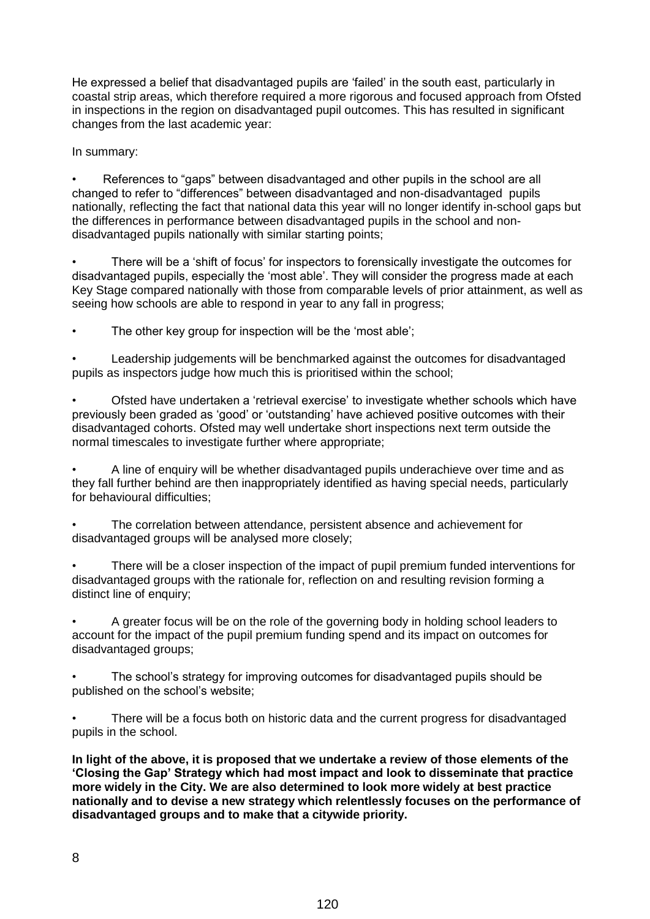He expressed a belief that disadvantaged pupils are 'failed' in the south east, particularly in coastal strip areas, which therefore required a more rigorous and focused approach from Ofsted in inspections in the region on disadvantaged pupil outcomes. This has resulted in significant changes from the last academic year:

In summary:

• References to "gaps" between disadvantaged and other pupils in the school are all changed to refer to "differences" between disadvantaged and non-disadvantaged pupils nationally, reflecting the fact that national data this year will no longer identify in-school gaps but the differences in performance between disadvantaged pupils in the school and nondisadvantaged pupils nationally with similar starting points;

• There will be a 'shift of focus' for inspectors to forensically investigate the outcomes for disadvantaged pupils, especially the 'most able'. They will consider the progress made at each Key Stage compared nationally with those from comparable levels of prior attainment, as well as seeing how schools are able to respond in year to any fall in progress;

The other key group for inspection will be the 'most able';

• Leadership judgements will be benchmarked against the outcomes for disadvantaged pupils as inspectors judge how much this is prioritised within the school;

• Ofsted have undertaken a 'retrieval exercise' to investigate whether schools which have previously been graded as 'good' or 'outstanding' have achieved positive outcomes with their disadvantaged cohorts. Ofsted may well undertake short inspections next term outside the normal timescales to investigate further where appropriate;

• A line of enquiry will be whether disadvantaged pupils underachieve over time and as they fall further behind are then inappropriately identified as having special needs, particularly for behavioural difficulties;

The correlation between attendance, persistent absence and achievement for disadvantaged groups will be analysed more closely;

• There will be a closer inspection of the impact of pupil premium funded interventions for disadvantaged groups with the rationale for, reflection on and resulting revision forming a distinct line of enquiry;

• A greater focus will be on the role of the governing body in holding school leaders to account for the impact of the pupil premium funding spend and its impact on outcomes for disadvantaged groups;

• The school's strategy for improving outcomes for disadvantaged pupils should be published on the school's website;

There will be a focus both on historic data and the current progress for disadvantaged pupils in the school.

**In light of the above, it is proposed that we undertake a review of those elements of the 'Closing the Gap' Strategy which had most impact and look to disseminate that practice more widely in the City. We are also determined to look more widely at best practice nationally and to devise a new strategy which relentlessly focuses on the performance of disadvantaged groups and to make that a citywide priority.**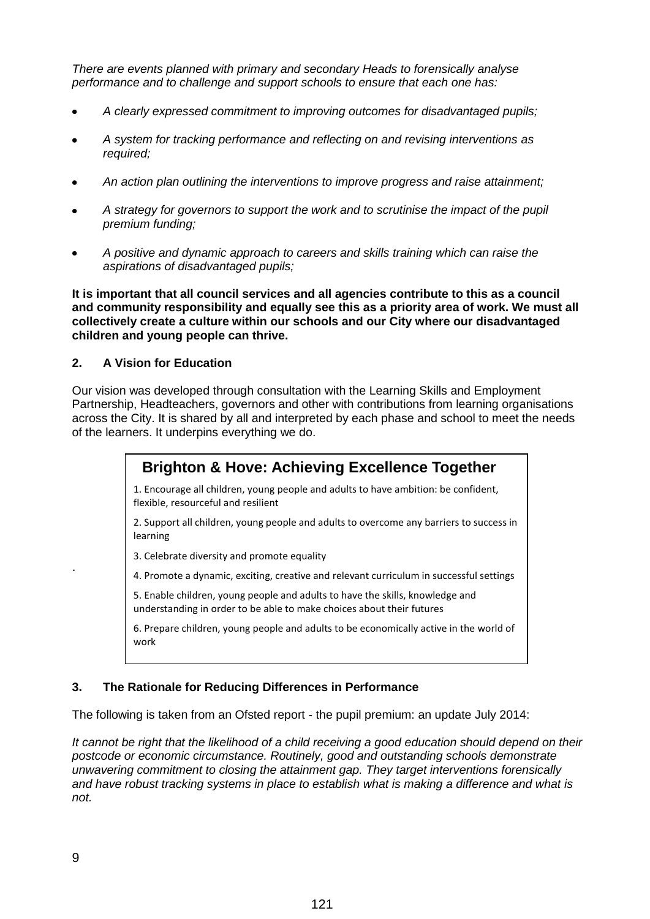*There are events planned with primary and secondary Heads to forensically analyse performance and to challenge and support schools to ensure that each one has:*

- *A clearly expressed commitment to improving outcomes for disadvantaged pupils;*
- *A system for tracking performance and reflecting on and revising interventions as required;*
- *An action plan outlining the interventions to improve progress and raise attainment;*
- *A strategy for governors to support the work and to scrutinise the impact of the pupil premium funding;*
- *A positive and dynamic approach to careers and skills training which can raise the*   $\bullet$ *aspirations of disadvantaged pupils;*

**It is important that all council services and all agencies contribute to this as a council and community responsibility and equally see this as a priority area of work. We must all collectively create a culture within our schools and our City where our disadvantaged children and young people can thrive.**

#### **2. A Vision for Education**

Our vision was developed through consultation with the Learning Skills and Employment Partnership, Headteachers, governors and other with contributions from learning organisations across the City. It is shared by all and interpreted by each phase and school to meet the needs of the learners. It underpins everything we do.



The following is taken from an Ofsted report - the pupil premium: an update July 2014:

*It cannot be right that the likelihood of a child receiving a good education should depend on their postcode or economic circumstance. Routinely, good and outstanding schools demonstrate unwavering commitment to closing the attainment gap. They target interventions forensically and have robust tracking systems in place to establish what is making a difference and what is not.*

.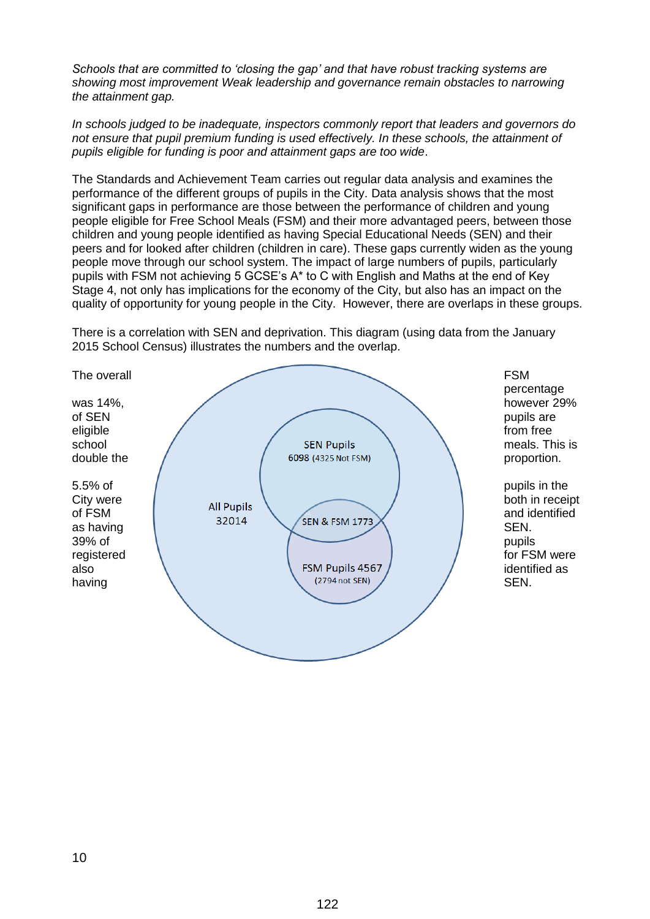*Schools that are committed to 'closing the gap' and that have robust tracking systems are showing most improvement Weak leadership and governance remain obstacles to narrowing the attainment gap.* 

*In schools judged to be inadequate, inspectors commonly report that leaders and governors do not ensure that pupil premium funding is used effectively. In these schools, the attainment of pupils eligible for funding is poor and attainment gaps are too wide*.

The Standards and Achievement Team carries out regular data analysis and examines the performance of the different groups of pupils in the City. Data analysis shows that the most significant gaps in performance are those between the performance of children and young people eligible for Free School Meals (FSM) and their more advantaged peers, between those children and young people identified as having Special Educational Needs (SEN) and their peers and for looked after children (children in care). These gaps currently widen as the young people move through our school system. The impact of large numbers of pupils, particularly pupils with FSM not achieving 5 GCSE's A\* to C with English and Maths at the end of Key Stage 4, not only has implications for the economy of the City, but also has an impact on the quality of opportunity for young people in the City. However, there are overlaps in these groups.

There is a correlation with SEN and deprivation. This diagram (using data from the January 2015 School Census) illustrates the numbers and the overlap.

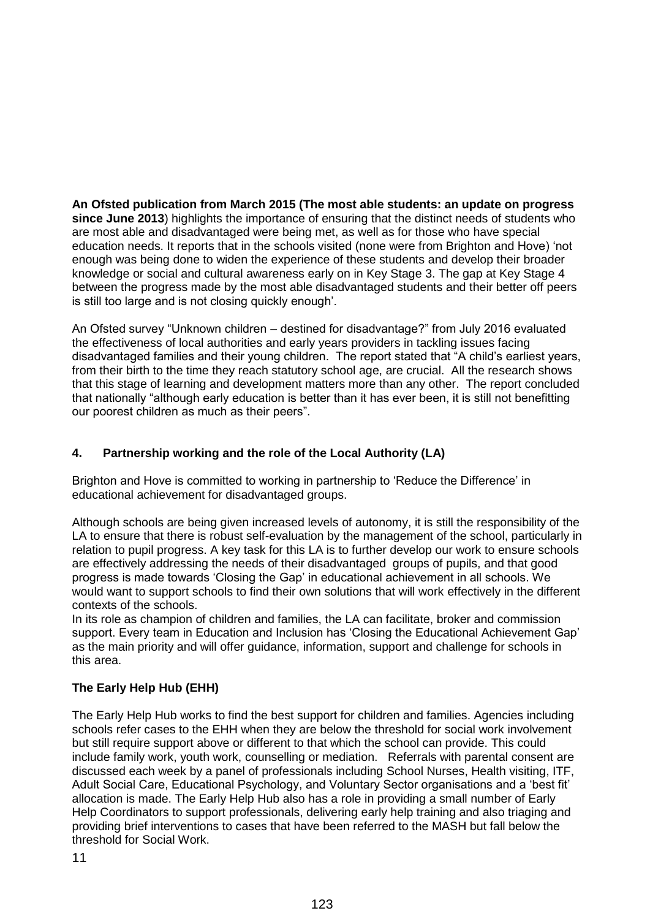**An Ofsted publication from March 2015 (The most able students: an update on progress since June 2013**) highlights the importance of ensuring that the distinct needs of students who are most able and disadvantaged were being met, as well as for those who have special education needs. It reports that in the schools visited (none were from Brighton and Hove) 'not enough was being done to widen the experience of these students and develop their broader knowledge or social and cultural awareness early on in Key Stage 3. The gap at Key Stage 4 between the progress made by the most able disadvantaged students and their better off peers is still too large and is not closing quickly enough'.

An Ofsted survey "Unknown children – destined for disadvantage?" from July 2016 evaluated the effectiveness of local authorities and early years providers in tackling issues facing disadvantaged families and their young children. The report stated that "A child's earliest years, from their birth to the time they reach statutory school age, are crucial. All the research shows that this stage of learning and development matters more than any other. The report concluded that nationally "although early education is better than it has ever been, it is still not benefitting our poorest children as much as their peers".

# **4. Partnership working and the role of the Local Authority (LA)**

Brighton and Hove is committed to working in partnership to 'Reduce the Difference' in educational achievement for disadvantaged groups.

Although schools are being given increased levels of autonomy, it is still the responsibility of the LA to ensure that there is robust self-evaluation by the management of the school, particularly in relation to pupil progress. A key task for this LA is to further develop our work to ensure schools are effectively addressing the needs of their disadvantaged groups of pupils, and that good progress is made towards 'Closing the Gap' in educational achievement in all schools. We would want to support schools to find their own solutions that will work effectively in the different contexts of the schools.

In its role as champion of children and families, the LA can facilitate, broker and commission support. Every team in Education and Inclusion has 'Closing the Educational Achievement Gap' as the main priority and will offer guidance, information, support and challenge for schools in this area.

# **The Early Help Hub (EHH)**

The Early Help Hub works to find the best support for children and families. Agencies including schools refer cases to the EHH when they are below the threshold for social work involvement but still require support above or different to that which the school can provide. This could include family work, youth work, counselling or mediation. Referrals with parental consent are discussed each week by a panel of professionals including School Nurses, Health visiting, ITF, Adult Social Care, Educational Psychology, and Voluntary Sector organisations and a 'best fit' allocation is made. The Early Help Hub also has a role in providing a small number of Early Help Coordinators to support professionals, delivering early help training and also triaging and providing brief interventions to cases that have been referred to the MASH but fall below the threshold for Social Work.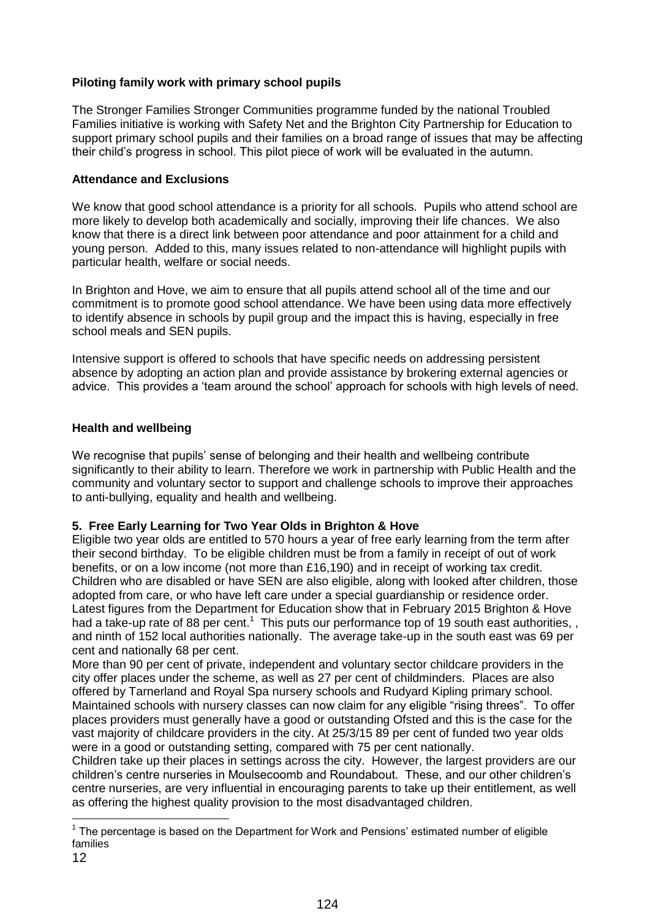## **Piloting family work with primary school pupils**

The Stronger Families Stronger Communities programme funded by the national Troubled Families initiative is working with Safety Net and the Brighton City Partnership for Education to support primary school pupils and their families on a broad range of issues that may be affecting their child's progress in school. This pilot piece of work will be evaluated in the autumn.

#### **Attendance and Exclusions**

We know that good school attendance is a priority for all schools. Pupils who attend school are more likely to develop both academically and socially, improving their life chances. We also know that there is a direct link between poor attendance and poor attainment for a child and young person. Added to this, many issues related to non-attendance will highlight pupils with particular health, welfare or social needs.

In Brighton and Hove, we aim to ensure that all pupils attend school all of the time and our commitment is to promote good school attendance. We have been using data more effectively to identify absence in schools by pupil group and the impact this is having, especially in free school meals and SEN pupils.

Intensive support is offered to schools that have specific needs on addressing persistent absence by adopting an action plan and provide assistance by brokering external agencies or advice. This provides a 'team around the school' approach for schools with high levels of need.

### **Health and wellbeing**

We recognise that pupils' sense of belonging and their health and wellbeing contribute significantly to their ability to learn. Therefore we work in partnership with Public Health and the community and voluntary sector to support and challenge schools to improve their approaches to anti-bullying, equality and health and wellbeing.

#### **5. Free Early Learning for Two Year Olds in Brighton & Hove**

Eligible two year olds are entitled to 570 hours a year of free early learning from the term after their second birthday. To be eligible children must be from a family in receipt of out of work benefits, or on a low income (not more than £16,190) and in receipt of working tax credit. Children who are disabled or have SEN are also eligible, along with looked after children, those adopted from care, or who have left care under a special guardianship or residence order. Latest figures from the Department for Education show that in February 2015 Brighton & Hove had a take-up rate of 88 per cent.<sup>1</sup> This puts our performance top of 19 south east authorities,, and ninth of 152 local authorities nationally. The average take-up in the south east was 69 per cent and nationally 68 per cent.

More than 90 per cent of private, independent and voluntary sector childcare providers in the city offer places under the scheme, as well as 27 per cent of childminders. Places are also offered by Tarnerland and Royal Spa nursery schools and Rudyard Kipling primary school. Maintained schools with nursery classes can now claim for any eligible "rising threes". To offer places providers must generally have a good or outstanding Ofsted and this is the case for the vast majority of childcare providers in the city. At 25/3/15 89 per cent of funded two year olds were in a good or outstanding setting, compared with 75 per cent nationally.

Children take up their places in settings across the city. However, the largest providers are our children's centre nurseries in Moulsecoomb and Roundabout. These, and our other children's centre nurseries, are very influential in encouraging parents to take up their entitlement, as well as offering the highest quality provision to the most disadvantaged children.

 $\overline{a}$ 

 $1$  The percentage is based on the Department for Work and Pensions' estimated number of eligible families

<sup>12</sup>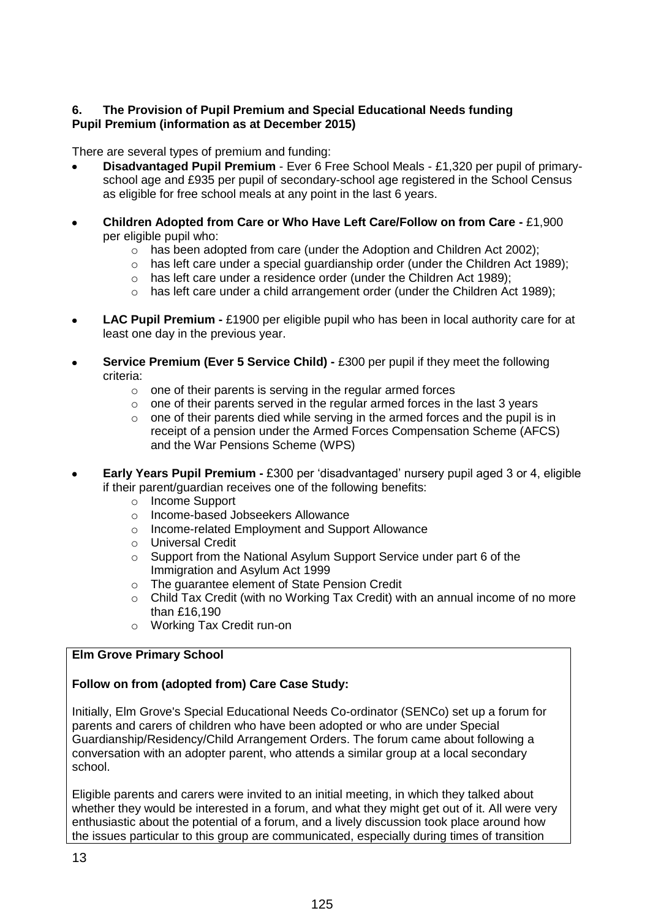### **6. The Provision of Pupil Premium and Special Educational Needs funding Pupil Premium (information as at December 2015)**

There are several types of premium and funding:

- **Disadvantaged Pupil Premium** Ever 6 Free School Meals £1,320 per pupil of primaryschool age and £935 per pupil of secondary-school age registered in the School Census as eligible for free school meals at any point in the last 6 years.
- **Children Adopted from Care or Who Have Left Care/Follow on from Care -** £1,900  $\bullet$ per eligible pupil who:
	- $\circ$  has been adopted from care (under the Adoption and Children Act 2002);
	- $\circ$  has left care under a special guardianship order (under the Children Act 1989);
	- o has left care under a residence order (under the Children Act 1989);
	- $\circ$  has left care under a child arrangement order (under the Children Act 1989);
- **LAC Pupil Premium -** £1900 per eligible pupil who has been in local authority care for at  $\bullet$ least one day in the previous year.
- **Service Premium (Ever 5 Service Child) -** £300 per pupil if they meet the following criteria:
	- $\circ$  one of their parents is serving in the regular armed forces
	- $\circ$  one of their parents served in the regular armed forces in the last 3 years
	- $\circ$  one of their parents died while serving in the armed forces and the pupil is in receipt of a pension under the Armed Forces Compensation Scheme (AFCS) and the War Pensions Scheme (WPS)
- **Early Years Pupil Premium -** £300 per 'disadvantaged' nursery pupil aged 3 or 4, eligible  $\bullet$ if their parent/guardian receives one of the following benefits:
	- o Income Support
	- o Income-based Jobseekers Allowance
	- o Income-related Employment and Support Allowance
	- o Universal Credit
	- o Support from the National Asylum Support Service under part 6 of the Immigration and Asylum Act 1999
	- o The guarantee element of State Pension Credit
	- $\circ$  Child Tax Credit (with no Working Tax Credit) with an annual income of no more than £16,190
	- o Working Tax Credit run-on

## **Elm Grove Primary School**

## **Follow on from (adopted from) Care Case Study:**

Initially, Elm Grove's Special Educational Needs Co-ordinator (SENCo) set up a forum for parents and carers of children who have been adopted or who are under Special Guardianship/Residency/Child Arrangement Orders. The forum came about following a conversation with an adopter parent, who attends a similar group at a local secondary school.

Eligible parents and carers were invited to an initial meeting, in which they talked about whether they would be interested in a forum, and what they might get out of it. All were very enthusiastic about the potential of a forum, and a lively discussion took place around how the issues particular to this group are communicated, especially during times of transition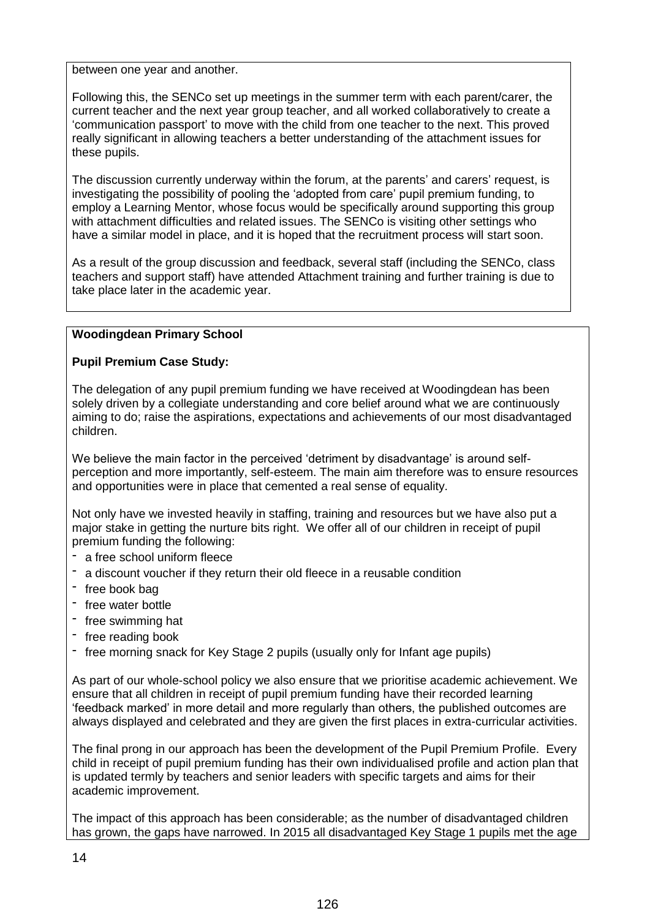between one year and another.

Following this, the SENCo set up meetings in the summer term with each parent/carer, the current teacher and the next year group teacher, and all worked collaboratively to create a 'communication passport' to move with the child from one teacher to the next. This proved really significant in allowing teachers a better understanding of the attachment issues for these pupils.

The discussion currently underway within the forum, at the parents' and carers' request, is investigating the possibility of pooling the 'adopted from care' pupil premium funding, to employ a Learning Mentor, whose focus would be specifically around supporting this group with attachment difficulties and related issues. The SENCo is visiting other settings who have a similar model in place, and it is hoped that the recruitment process will start soon.

As a result of the group discussion and feedback, several staff (including the SENCo, class teachers and support staff) have attended Attachment training and further training is due to take place later in the academic year.

# **Woodingdean Primary School**

# **Pupil Premium Case Study:**

The delegation of any pupil premium funding we have received at Woodingdean has been solely driven by a collegiate understanding and core belief around what we are continuously aiming to do; raise the aspirations, expectations and achievements of our most disadvantaged children.

We believe the main factor in the perceived 'detriment by disadvantage' is around selfperception and more importantly, self-esteem. The main aim therefore was to ensure resources and opportunities were in place that cemented a real sense of equality.

Not only have we invested heavily in staffing, training and resources but we have also put a major stake in getting the nurture bits right. We offer all of our children in receipt of pupil premium funding the following:

- a free school uniform fleece
- a discount voucher if they return their old fleece in a reusable condition
- free book bag
- free water bottle
- free swimming hat
- free reading book
- free morning snack for Key Stage 2 pupils (usually only for Infant age pupils)

As part of our whole-school policy we also ensure that we prioritise academic achievement. We ensure that all children in receipt of pupil premium funding have their recorded learning 'feedback marked' in more detail and more regularly than others, the published outcomes are always displayed and celebrated and they are given the first places in extra-curricular activities.

The final prong in our approach has been the development of the Pupil Premium Profile. Every child in receipt of pupil premium funding has their own individualised profile and action plan that is updated termly by teachers and senior leaders with specific targets and aims for their academic improvement.

The impact of this approach has been considerable; as the number of disadvantaged children has grown, the gaps have narrowed. In 2015 all disadvantaged Key Stage 1 pupils met the age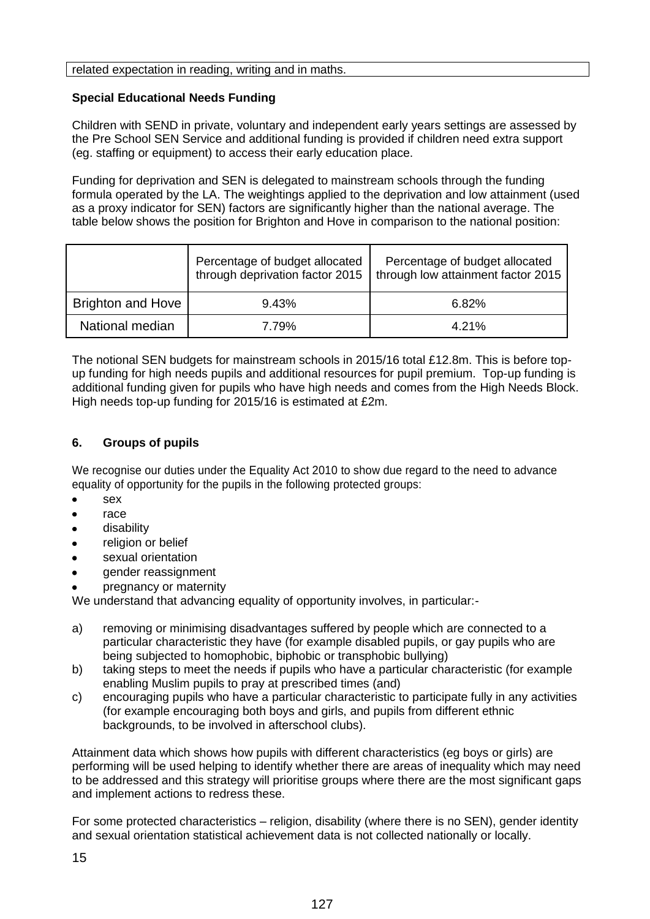#### related expectation in reading, writing and in maths.

### **Special Educational Needs Funding**

Children with SEND in private, voluntary and independent early years settings are assessed by the Pre School SEN Service and additional funding is provided if children need extra support (eg. staffing or equipment) to access their early education place.

Funding for deprivation and SEN is delegated to mainstream schools through the funding formula operated by the LA. The weightings applied to the deprivation and low attainment (used as a proxy indicator for SEN) factors are significantly higher than the national average. The table below shows the position for Brighton and Hove in comparison to the national position:

|                          | Percentage of budget allocated<br>through deprivation factor 2015 | Percentage of budget allocated<br>through low attainment factor 2015 |
|--------------------------|-------------------------------------------------------------------|----------------------------------------------------------------------|
| <b>Brighton and Hove</b> | 9.43%                                                             | 6.82%                                                                |
| National median          | 7.79%                                                             | 4.21%                                                                |

The notional SEN budgets for mainstream schools in 2015/16 total £12.8m. This is before topup funding for high needs pupils and additional resources for pupil premium. Top-up funding is additional funding given for pupils who have high needs and comes from the High Needs Block. High needs top-up funding for 2015/16 is estimated at £2m.

## **6. Groups of pupils**

We recognise our duties under the Equality Act 2010 to show due regard to the need to advance equality of opportunity for the pupils in the following protected groups:

- sex
- race
- disability
- religion or belief
- sexual orientation
- gender reassignment
- pregnancy or maternity

We understand that advancing equality of opportunity involves, in particular:-

- a) removing or minimising disadvantages suffered by people which are connected to a particular characteristic they have (for example disabled pupils, or gay pupils who are being subjected to homophobic, biphobic or transphobic bullying)
- b) taking steps to meet the needs if pupils who have a particular characteristic (for example enabling Muslim pupils to pray at prescribed times (and)
- c) encouraging pupils who have a particular characteristic to participate fully in any activities (for example encouraging both boys and girls, and pupils from different ethnic backgrounds, to be involved in afterschool clubs).

Attainment data which shows how pupils with different characteristics (eg boys or girls) are performing will be used helping to identify whether there are areas of inequality which may need to be addressed and this strategy will prioritise groups where there are the most significant gaps and implement actions to redress these.

For some protected characteristics – religion, disability (where there is no SEN), gender identity and sexual orientation statistical achievement data is not collected nationally or locally.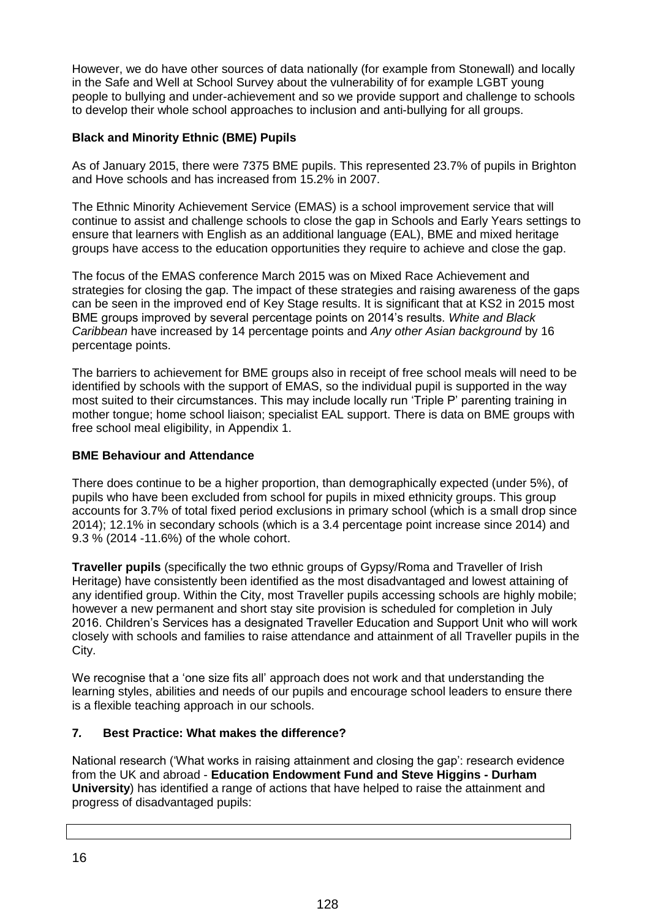However, we do have other sources of data nationally (for example from Stonewall) and locally in the Safe and Well at School Survey about the vulnerability of for example LGBT young people to bullying and under-achievement and so we provide support and challenge to schools to develop their whole school approaches to inclusion and anti-bullying for all groups.

## **Black and Minority Ethnic (BME) Pupils**

As of January 2015, there were 7375 BME pupils. This represented 23.7% of pupils in Brighton and Hove schools and has increased from 15.2% in 2007.

The Ethnic Minority Achievement Service (EMAS) is a school improvement service that will continue to assist and challenge schools to close the gap in Schools and Early Years settings to ensure that learners with English as an additional language (EAL), BME and mixed heritage groups have access to the education opportunities they require to achieve and close the gap.

The focus of the EMAS conference March 2015 was on Mixed Race Achievement and strategies for closing the gap. The impact of these strategies and raising awareness of the gaps can be seen in the improved end of Key Stage results. It is significant that at KS2 in 2015 most BME groups improved by several percentage points on 2014's results. *White and Black Caribbean* have increased by 14 percentage points and *Any other Asian background* by 16 percentage points.

The barriers to achievement for BME groups also in receipt of free school meals will need to be identified by schools with the support of EMAS, so the individual pupil is supported in the way most suited to their circumstances. This may include locally run 'Triple P' parenting training in mother tongue; home school liaison; specialist EAL support. There is data on BME groups with free school meal eligibility, in Appendix 1.

## **BME Behaviour and Attendance**

There does continue to be a higher proportion, than demographically expected (under 5%), of pupils who have been excluded from school for pupils in mixed ethnicity groups. This group accounts for 3.7% of total fixed period exclusions in primary school (which is a small drop since 2014); 12.1% in secondary schools (which is a 3.4 percentage point increase since 2014) and 9.3 % (2014 -11.6%) of the whole cohort.

**Traveller pupils** (specifically the two ethnic groups of Gypsy/Roma and Traveller of Irish Heritage) have consistently been identified as the most disadvantaged and lowest attaining of any identified group. Within the City, most Traveller pupils accessing schools are highly mobile; however a new permanent and short stay site provision is scheduled for completion in July 2016. Children's Services has a designated Traveller Education and Support Unit who will work closely with schools and families to raise attendance and attainment of all Traveller pupils in the City.

We recognise that a 'one size fits all' approach does not work and that understanding the learning styles, abilities and needs of our pupils and encourage school leaders to ensure there is a flexible teaching approach in our schools.

## **7***.* **Best Practice: What makes the difference?**

National research ('What works in raising attainment and closing the gap': research evidence from the UK and abroad - **Education Endowment Fund and Steve Higgins - Durham University**) has identified a range of actions that have helped to raise the attainment and progress of disadvantaged pupils: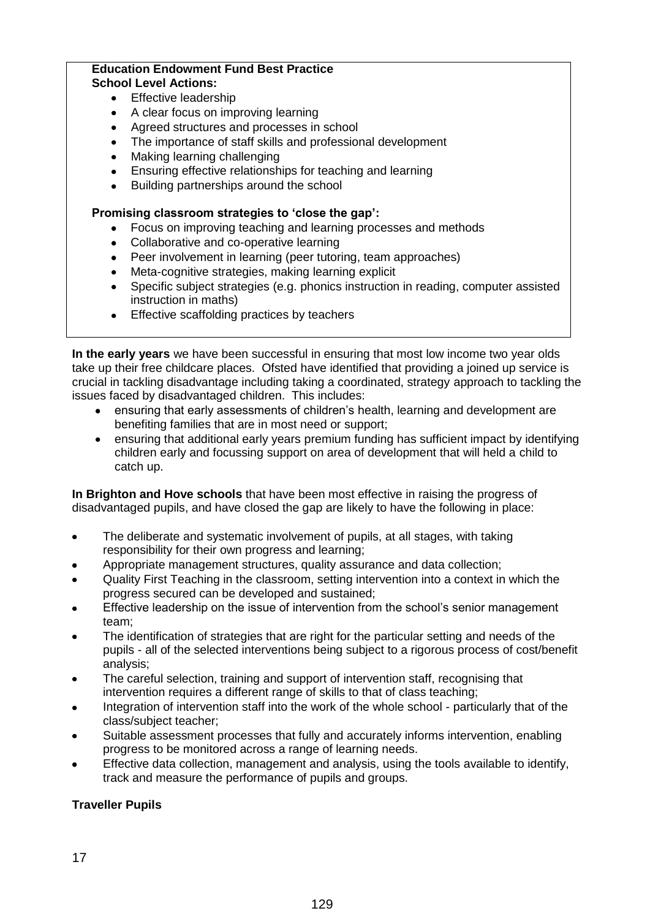#### **Education Endowment Fund Best Practice School Level Actions:**

- Effective leadership
- A clear focus on improving learning  $\bullet$
- Agreed structures and processes in school
- The importance of staff skills and professional development  $\bullet$
- Making learning challenging
- Ensuring effective relationships for teaching and learning
- Building partnerships around the school

### **Promising classroom strategies to 'close the gap':**

- Focus on improving teaching and learning processes and methods
- Collaborative and co-operative learning
- Peer involvement in learning (peer tutoring, team approaches)
- Meta-cognitive strategies, making learning explicit
- Specific subject strategies (e.g. phonics instruction in reading, computer assisted instruction in maths)
- Effective scaffolding practices by teachers

**In the early years** we have been successful in ensuring that most low income two year olds take up their free childcare places. Ofsted have identified that providing a joined up service is crucial in tackling disadvantage including taking a coordinated, strategy approach to tackling the issues faced by disadvantaged children. This includes:

- ensuring that early assessments of children's health, learning and development are benefiting families that are in most need or support;
- ensuring that additional early years premium funding has sufficient impact by identifying children early and focussing support on area of development that will held a child to catch up.

**In Brighton and Hove schools** that have been most effective in raising the progress of disadvantaged pupils, and have closed the gap are likely to have the following in place:

- The deliberate and systematic involvement of pupils, at all stages, with taking  $\bullet$ responsibility for their own progress and learning;
- Appropriate management structures, quality assurance and data collection;
- Quality First Teaching in the classroom, setting intervention into a context in which the progress secured can be developed and sustained;
- Effective leadership on the issue of intervention from the school's senior management team;
- The identification of strategies that are right for the particular setting and needs of the pupils - all of the selected interventions being subject to a rigorous process of cost/benefit analysis;
- The careful selection, training and support of intervention staff, recognising that intervention requires a different range of skills to that of class teaching;
- Integration of intervention staff into the work of the whole school particularly that of the class/subject teacher;
- Suitable assessment processes that fully and accurately informs intervention, enabling progress to be monitored across a range of learning needs.
- Effective data collection, management and analysis, using the tools available to identify, track and measure the performance of pupils and groups.

## **Traveller Pupils**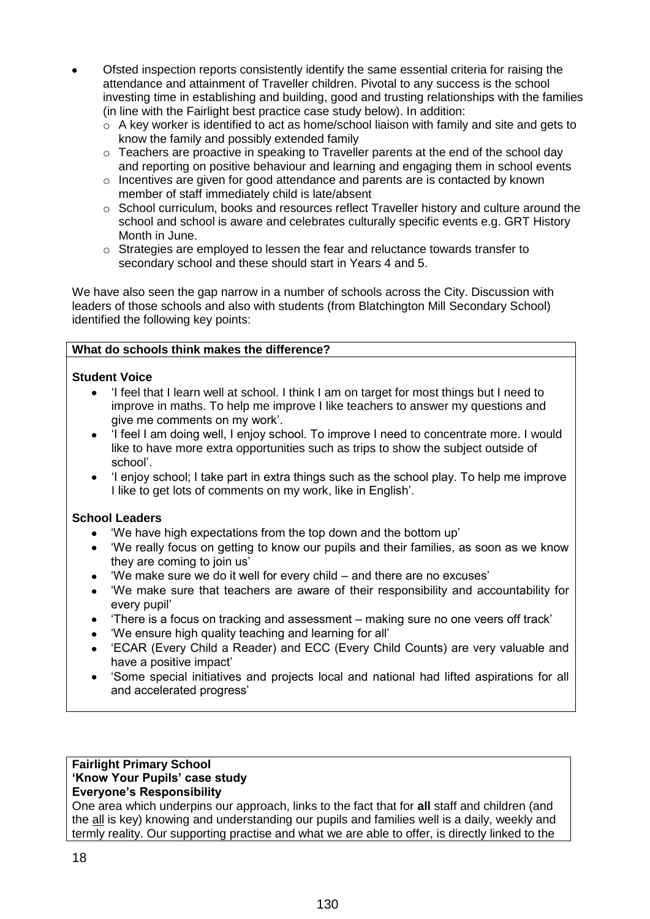- Ofsted inspection reports consistently identify the same essential criteria for raising the attendance and attainment of Traveller children. Pivotal to any success is the school investing time in establishing and building, good and trusting relationships with the families (in line with the Fairlight best practice case study below). In addition:
	- $\circ$  A key worker is identified to act as home/school liaison with family and site and gets to know the family and possibly extended family
	- $\circ$  Teachers are proactive in speaking to Traveller parents at the end of the school day and reporting on positive behaviour and learning and engaging them in school events
	- $\circ$  Incentives are given for good attendance and parents are is contacted by known member of staff immediately child is late/absent
	- $\circ$  School curriculum, books and resources reflect Traveller history and culture around the school and school is aware and celebrates culturally specific events e.g. GRT History Month in June.
	- $\circ$  Strategies are employed to lessen the fear and reluctance towards transfer to secondary school and these should start in Years 4 and 5.

We have also seen the gap narrow in a number of schools across the City. Discussion with leaders of those schools and also with students (from Blatchington Mill Secondary School) identified the following key points:

### **What do schools think makes the difference?**

### **Student Voice**

- 'I feel that I learn well at school. I think I am on target for most things but I need to improve in maths. To help me improve I like teachers to answer my questions and give me comments on my work'.
- 'I feel I am doing well, I enjoy school. To improve I need to concentrate more. I would like to have more extra opportunities such as trips to show the subject outside of school'.
- 'I enjoy school; I take part in extra things such as the school play. To help me improve I like to get lots of comments on my work, like in English'.

#### **School Leaders**

- 'We have high expectations from the top down and the bottom up'
- 'We really focus on getting to know our pupils and their families, as soon as we know they are coming to join us'
- 'We make sure we do it well for every child and there are no excuses'
- 'We make sure that teachers are aware of their responsibility and accountability for every pupil'
- 'There is a focus on tracking and assessment making sure no one veers off track'
- 'We ensure high quality teaching and learning for all'
- 'ECAR (Every Child a Reader) and ECC (Every Child Counts) are very valuable and have a positive impact'
- 'Some special initiatives and projects local and national had lifted aspirations for all and accelerated progress'

#### **Fairlight Primary School 'Know Your Pupils' case study Everyone's Responsibility**

One area which underpins our approach, links to the fact that for **all** staff and children (and the all is key) knowing and understanding our pupils and families well is a daily, weekly and termly reality. Our supporting practise and what we are able to offer, is directly linked to the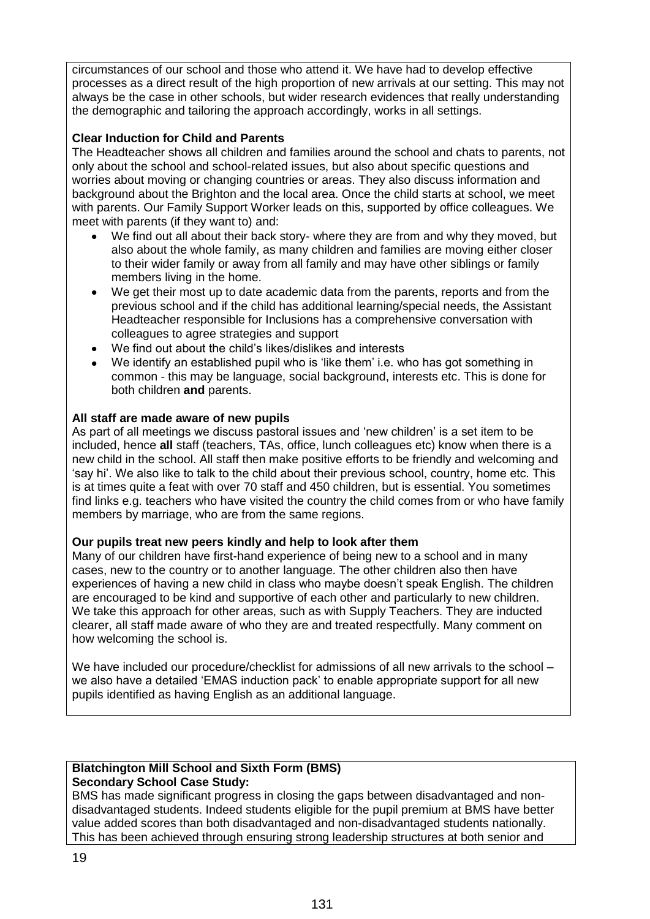circumstances of our school and those who attend it. We have had to develop effective processes as a direct result of the high proportion of new arrivals at our setting. This may not always be the case in other schools, but wider research evidences that really understanding the demographic and tailoring the approach accordingly, works in all settings.

### **Clear Induction for Child and Parents**

The Headteacher shows all children and families around the school and chats to parents, not only about the school and school-related issues, but also about specific questions and worries about moving or changing countries or areas. They also discuss information and background about the Brighton and the local area. Once the child starts at school, we meet with parents. Our Family Support Worker leads on this, supported by office colleagues. We meet with parents (if they want to) and:

- We find out all about their back story- where they are from and why they moved, but also about the whole family, as many children and families are moving either closer to their wider family or away from all family and may have other siblings or family members living in the home.
- We get their most up to date academic data from the parents, reports and from the previous school and if the child has additional learning/special needs, the Assistant Headteacher responsible for Inclusions has a comprehensive conversation with colleagues to agree strategies and support
- We find out about the child's likes/dislikes and interests
- We identify an established pupil who is 'like them' i.e. who has got something in common - this may be language, social background, interests etc. This is done for both children **and** parents.

#### **All staff are made aware of new pupils**

As part of all meetings we discuss pastoral issues and 'new children' is a set item to be included, hence **all** staff (teachers, TAs, office, lunch colleagues etc) know when there is a new child in the school. All staff then make positive efforts to be friendly and welcoming and 'say hi'. We also like to talk to the child about their previous school, country, home etc. This is at times quite a feat with over 70 staff and 450 children, but is essential. You sometimes find links e.g. teachers who have visited the country the child comes from or who have family members by marriage, who are from the same regions.

#### **Our pupils treat new peers kindly and help to look after them**

Many of our children have first-hand experience of being new to a school and in many cases, new to the country or to another language. The other children also then have experiences of having a new child in class who maybe doesn't speak English. The children are encouraged to be kind and supportive of each other and particularly to new children. We take this approach for other areas, such as with Supply Teachers. They are inducted clearer, all staff made aware of who they are and treated respectfully. Many comment on how welcoming the school is.

We have included our procedure/checklist for admissions of all new arrivals to the school – we also have a detailed 'EMAS induction pack' to enable appropriate support for all new pupils identified as having English as an additional language.

#### **Blatchington Mill School and Sixth Form (BMS) Secondary School Case Study:**

BMS has made significant progress in closing the gaps between disadvantaged and nondisadvantaged students. Indeed students eligible for the pupil premium at BMS have better value added scores than both disadvantaged and non-disadvantaged students nationally. This has been achieved through ensuring strong leadership structures at both senior and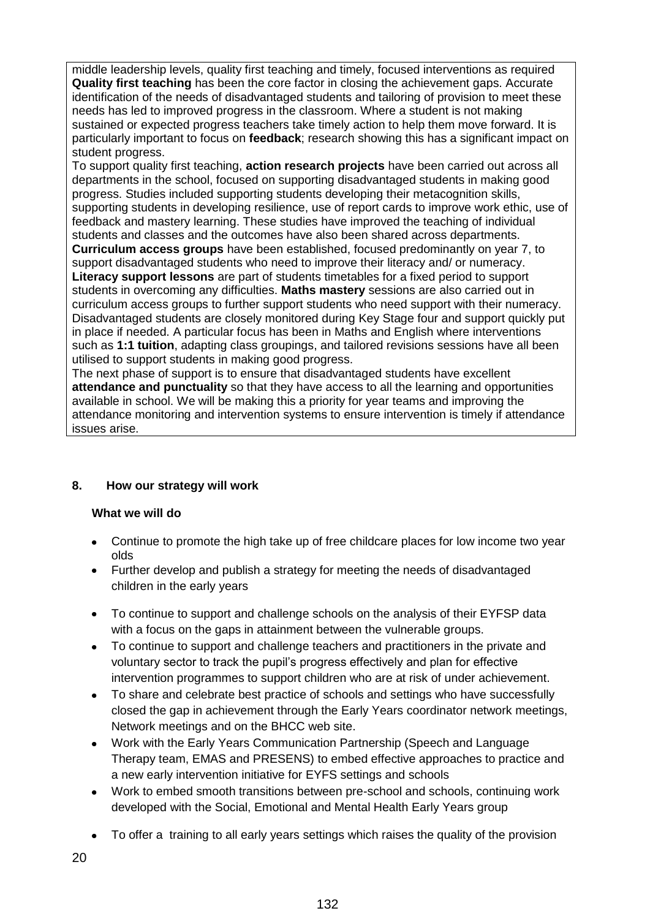middle leadership levels, quality first teaching and timely, focused interventions as required **Quality first teaching** has been the core factor in closing the achievement gaps. Accurate identification of the needs of disadvantaged students and tailoring of provision to meet these needs has led to improved progress in the classroom. Where a student is not making sustained or expected progress teachers take timely action to help them move forward. It is particularly important to focus on **feedback**; research showing this has a significant impact on student progress.

To support quality first teaching, **action research projects** have been carried out across all departments in the school, focused on supporting disadvantaged students in making good progress. Studies included supporting students developing their metacognition skills, supporting students in developing resilience, use of report cards to improve work ethic, use of feedback and mastery learning. These studies have improved the teaching of individual students and classes and the outcomes have also been shared across departments. **Curriculum access groups** have been established, focused predominantly on year 7, to support disadvantaged students who need to improve their literacy and/ or numeracy. **Literacy support lessons** are part of students timetables for a fixed period to support students in overcoming any difficulties. **Maths mastery** sessions are also carried out in curriculum access groups to further support students who need support with their numeracy. Disadvantaged students are closely monitored during Key Stage four and support quickly put in place if needed. A particular focus has been in Maths and English where interventions such as **1:1 tuition**, adapting class groupings, and tailored revisions sessions have all been utilised to support students in making good progress.

The next phase of support is to ensure that disadvantaged students have excellent **attendance and punctuality** so that they have access to all the learning and opportunities available in school. We will be making this a priority for year teams and improving the attendance monitoring and intervention systems to ensure intervention is timely if attendance issues arise.

# **8. How our strategy will work**

## **What we will do**

- Continue to promote the high take up of free childcare places for low income two year olds
- Further develop and publish a strategy for meeting the needs of disadvantaged children in the early years
- To continue to support and challenge schools on the analysis of their EYFSP data with a focus on the gaps in attainment between the vulnerable groups.
- To continue to support and challenge teachers and practitioners in the private and voluntary sector to track the pupil's progress effectively and plan for effective intervention programmes to support children who are at risk of under achievement.
- To share and celebrate best practice of schools and settings who have successfully closed the gap in achievement through the Early Years coordinator network meetings, Network meetings and on the BHCC web site.
- Work with the Early Years Communication Partnership (Speech and Language Therapy team, EMAS and PRESENS) to embed effective approaches to practice and a new early intervention initiative for EYFS settings and schools
- Work to embed smooth transitions between pre-school and schools, continuing work developed with the Social, Emotional and Mental Health Early Years group
- To offer a training to all early years settings which raises the quality of the provision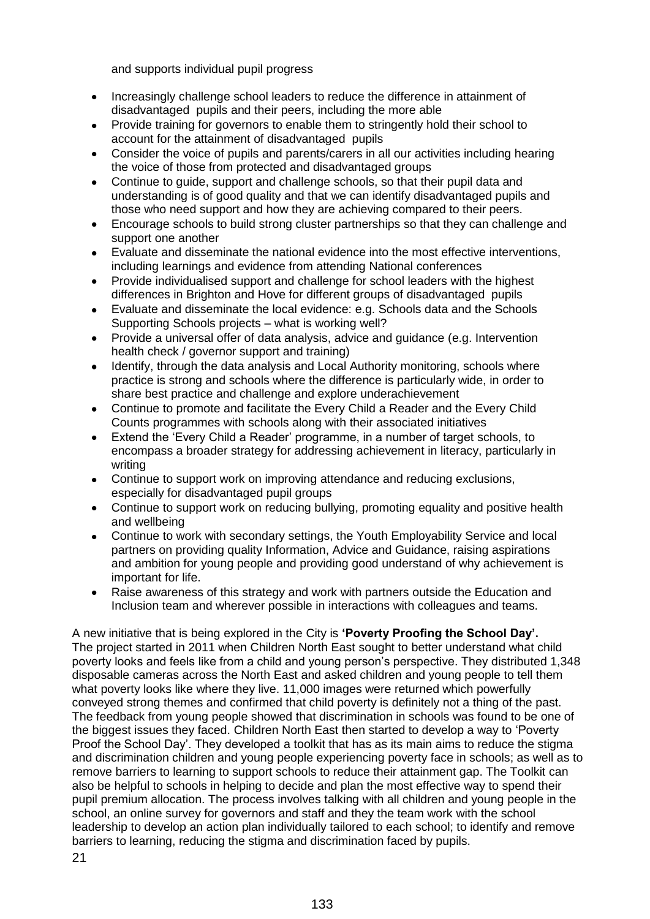and supports individual pupil progress

- Increasingly challenge school leaders to reduce the difference in attainment of  $\bullet$ disadvantaged pupils and their peers, including the more able
- Provide training for governors to enable them to stringently hold their school to account for the attainment of disadvantaged pupils
- Consider the voice of pupils and parents/carers in all our activities including hearing the voice of those from protected and disadvantaged groups
- Continue to guide, support and challenge schools, so that their pupil data and understanding is of good quality and that we can identify disadvantaged pupils and those who need support and how they are achieving compared to their peers.
- Encourage schools to build strong cluster partnerships so that they can challenge and  $\bullet$ support one another
- Evaluate and disseminate the national evidence into the most effective interventions, including learnings and evidence from attending National conferences
- Provide individualised support and challenge for school leaders with the highest differences in Brighton and Hove for different groups of disadvantaged pupils
- Evaluate and disseminate the local evidence: e.g. Schools data and the Schools Supporting Schools projects – what is working well?
- Provide a universal offer of data analysis, advice and guidance (e.g. Intervention health check / governor support and training)
- Identify, through the data analysis and Local Authority monitoring, schools where practice is strong and schools where the difference is particularly wide, in order to share best practice and challenge and explore underachievement
- $\bullet$ Continue to promote and facilitate the Every Child a Reader and the Every Child Counts programmes with schools along with their associated initiatives
- Extend the 'Every Child a Reader' programme, in a number of target schools, to encompass a broader strategy for addressing achievement in literacy, particularly in writing
- Continue to support work on improving attendance and reducing exclusions, especially for disadvantaged pupil groups
- Continue to support work on reducing bullying, promoting equality and positive health and wellbeing
- Continue to work with secondary settings, the Youth Employability Service and local partners on providing quality Information, Advice and Guidance, raising aspirations and ambition for young people and providing good understand of why achievement is important for life.
- Raise awareness of this strategy and work with partners outside the Education and  $\bullet$ Inclusion team and wherever possible in interactions with colleagues and teams.

A new initiative that is being explored in the City is **'Poverty Proofing the School Day'.** The project started in 2011 when Children North East sought to better understand what child poverty looks and feels like from a child and young person's perspective. They distributed 1,348 disposable cameras across the North East and asked children and young people to tell them what poverty looks like where they live. 11,000 images were returned which powerfully conveyed strong themes and confirmed that child poverty is definitely not a thing of the past. The feedback from young people showed that discrimination in schools was found to be one of the biggest issues they faced. Children North East then started to develop a way to 'Poverty Proof the School Day'. They developed a toolkit that has as its main aims to reduce the stigma and discrimination children and young people experiencing poverty face in schools; as well as to remove barriers to learning to support schools to reduce their attainment gap. The Toolkit can also be helpful to schools in helping to decide and plan the most effective way to spend their pupil premium allocation. The process involves talking with all children and young people in the school, an online survey for governors and staff and they the team work with the school leadership to develop an action plan individually tailored to each school; to identify and remove barriers to learning, reducing the stigma and discrimination faced by pupils.